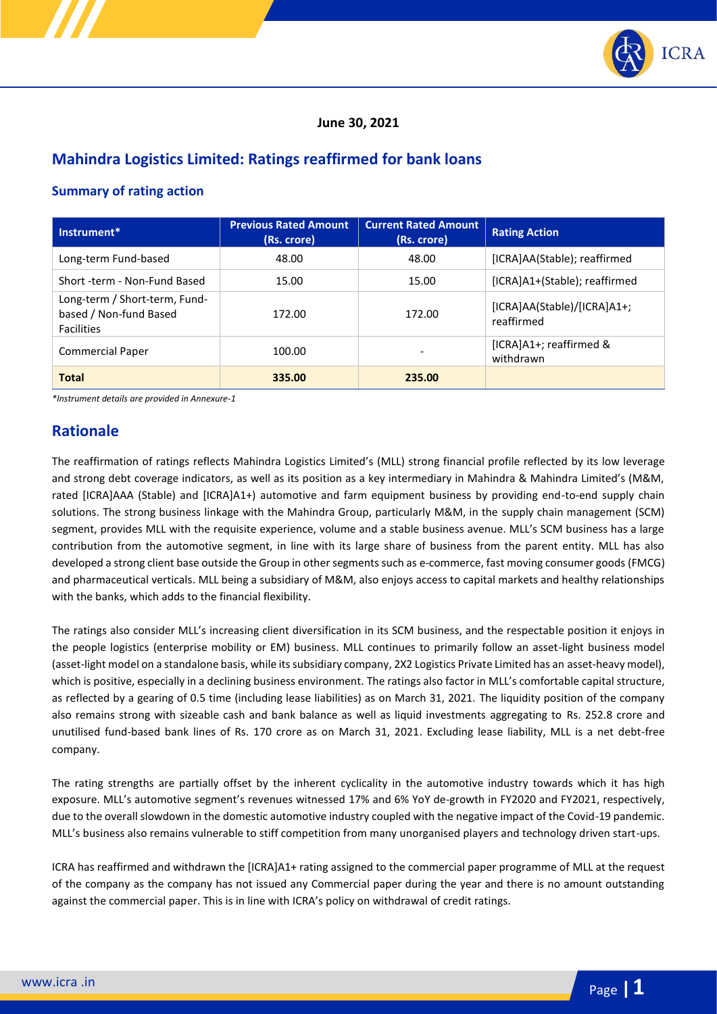

### **June 30, 2021**

# **Mahindra Logistics Limited: Ratings reaffirmed for bank loans**

## **Summary of rating action**

| Instrument*                                                                  | <b>Previous Rated Amount</b><br>(Rs. crore) | <b>Current Rated Amount</b><br>(Rs. crore) | <b>Rating Action</b>                      |  |
|------------------------------------------------------------------------------|---------------------------------------------|--------------------------------------------|-------------------------------------------|--|
| Long-term Fund-based                                                         | 48.00                                       | 48.00                                      | [ICRA]AA(Stable); reaffirmed              |  |
| Short -term - Non-Fund Based                                                 | 15.00                                       | 15.00                                      | [ICRA]A1+(Stable); reaffirmed             |  |
| Long-term / Short-term, Fund-<br>based / Non-fund Based<br><b>Facilities</b> | 172.00                                      | 172.00                                     | [ICRA]AA(Stable)/[ICRA]A1+;<br>reaffirmed |  |
| <b>Commercial Paper</b>                                                      | 100.00                                      |                                            | [ICRA]A1+; reaffirmed &<br>withdrawn      |  |
| <b>Total</b>                                                                 | 335.00                                      | 235.00                                     |                                           |  |

*\*Instrument details are provided in Annexure-1*

# **Rationale**

The reaffirmation of ratings reflects Mahindra Logistics Limited's (MLL) strong financial profile reflected by its low leverage and strong debt coverage indicators, as well as its position as a key intermediary in Mahindra & Mahindra Limited's (M&M, rated [ICRA]AAA (Stable) and [ICRA]A1+) automotive and farm equipment business by providing end-to-end supply chain solutions. The strong business linkage with the Mahindra Group, particularly M&M, in the supply chain management (SCM) segment, provides MLL with the requisite experience, volume and a stable business avenue. MLL's SCM business has a large contribution from the automotive segment, in line with its large share of business from the parent entity. MLL has also developed a strong client base outside the Group in other segments such as e-commerce, fast moving consumer goods (FMCG) and pharmaceutical verticals. MLL being a subsidiary of M&M, also enjoys access to capital markets and healthy relationships with the banks, which adds to the financial flexibility.

The ratings also consider MLL's increasing client diversification in its SCM business, and the respectable position it enjoys in the people logistics (enterprise mobility or EM) business. MLL continues to primarily follow an asset-light business model (asset-light model on a standalone basis, while its subsidiary company, 2X2 Logistics Private Limited has an asset-heavy model), which is positive, especially in a declining business environment. The ratings also factor in MLL's comfortable capital structure, as reflected by a gearing of 0.5 time (including lease liabilities) as on March 31, 2021. The liquidity position of the company also remains strong with sizeable cash and bank balance as well as liquid investments aggregating to Rs. 252.8 crore and unutilised fund-based bank lines of Rs. 170 crore as on March 31, 2021. Excluding lease liability, MLL is a net debt-free company.

The rating strengths are partially offset by the inherent cyclicality in the automotive industry towards which it has high exposure. MLL's automotive segment's revenues witnessed 17% and 6% YoY de-growth in FY2020 and FY2021, respectively, due to the overall slowdown in the domestic automotive industry coupled with the negative impact of the Covid-19 pandemic. MLL's business also remains vulnerable to stiff competition from many unorganised players and technology driven start-ups.

ICRA has reaffirmed and withdrawn the [ICRA]A1+ rating assigned to the commercial paper programme of MLL at the request of the company as the company has not issued any Commercial paper during the year and there is no amount outstanding against the commercial paper. This is in line with ICRA's policy on withdrawal of credit ratings.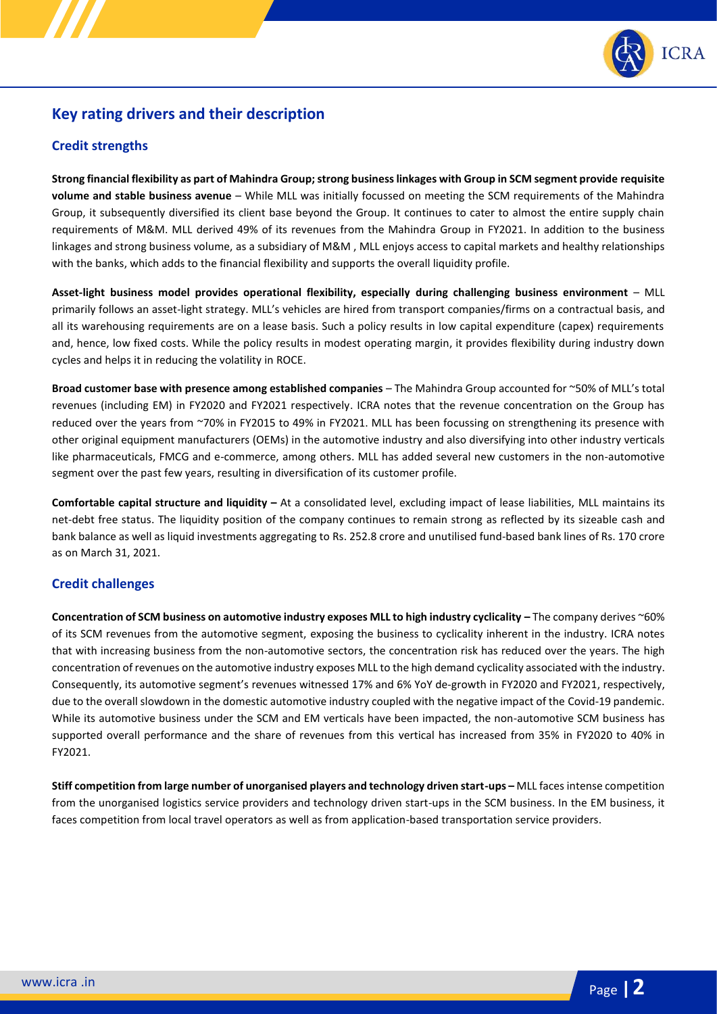

# **Key rating drivers and their description**

## **Credit strengths**

**Strong financial flexibility as part of Mahindra Group; strong business linkages with Group in SCM segment provide requisite volume and stable business avenue** – While MLL was initially focussed on meeting the SCM requirements of the Mahindra Group, it subsequently diversified its client base beyond the Group. It continues to cater to almost the entire supply chain requirements of M&M. MLL derived 49% of its revenues from the Mahindra Group in FY2021. In addition to the business linkages and strong business volume, as a subsidiary of M&M , MLL enjoys access to capital markets and healthy relationships with the banks, which adds to the financial flexibility and supports the overall liquidity profile.

**Asset-light business model provides operational flexibility, especially during challenging business environment** – MLL primarily follows an asset-light strategy. MLL's vehicles are hired from transport companies/firms on a contractual basis, and all its warehousing requirements are on a lease basis. Such a policy results in low capital expenditure (capex) requirements and, hence, low fixed costs. While the policy results in modest operating margin, it provides flexibility during industry down cycles and helps it in reducing the volatility in ROCE.

**Broad customer base with presence among established companies** – The Mahindra Group accounted for ~50% of MLL's total revenues (including EM) in FY2020 and FY2021 respectively. ICRA notes that the revenue concentration on the Group has reduced over the years from ~70% in FY2015 to 49% in FY2021. MLL has been focussing on strengthening its presence with other original equipment manufacturers (OEMs) in the automotive industry and also diversifying into other industry verticals like pharmaceuticals, FMCG and e-commerce, among others. MLL has added several new customers in the non-automotive segment over the past few years, resulting in diversification of its customer profile.

**Comfortable capital structure and liquidity –** At a consolidated level, excluding impact of lease liabilities, MLL maintains its net-debt free status. The liquidity position of the company continues to remain strong as reflected by its sizeable cash and bank balance as well as liquid investments aggregating to Rs. 252.8 crore and unutilised fund-based bank lines of Rs. 170 crore as on March 31, 2021.

### **Credit challenges**

**Concentration of SCM business on automotive industry exposes MLL to high industry cyclicality –** The company derives ~60% of its SCM revenues from the automotive segment, exposing the business to cyclicality inherent in the industry. ICRA notes that with increasing business from the non-automotive sectors, the concentration risk has reduced over the years. The high concentration of revenues on the automotive industry exposes MLL to the high demand cyclicality associated with the industry. Consequently, its automotive segment's revenues witnessed 17% and 6% YoY de-growth in FY2020 and FY2021, respectively, due to the overall slowdown in the domestic automotive industry coupled with the negative impact of the Covid-19 pandemic. While its automotive business under the SCM and EM verticals have been impacted, the non-automotive SCM business has supported overall performance and the share of revenues from this vertical has increased from 35% in FY2020 to 40% in FY2021.

**Stiff competition from large number of unorganised players and technology driven start-ups –** MLL faces intense competition from the unorganised logistics service providers and technology driven start-ups in the SCM business. In the EM business, it faces competition from local travel operators as well as from application-based transportation service providers.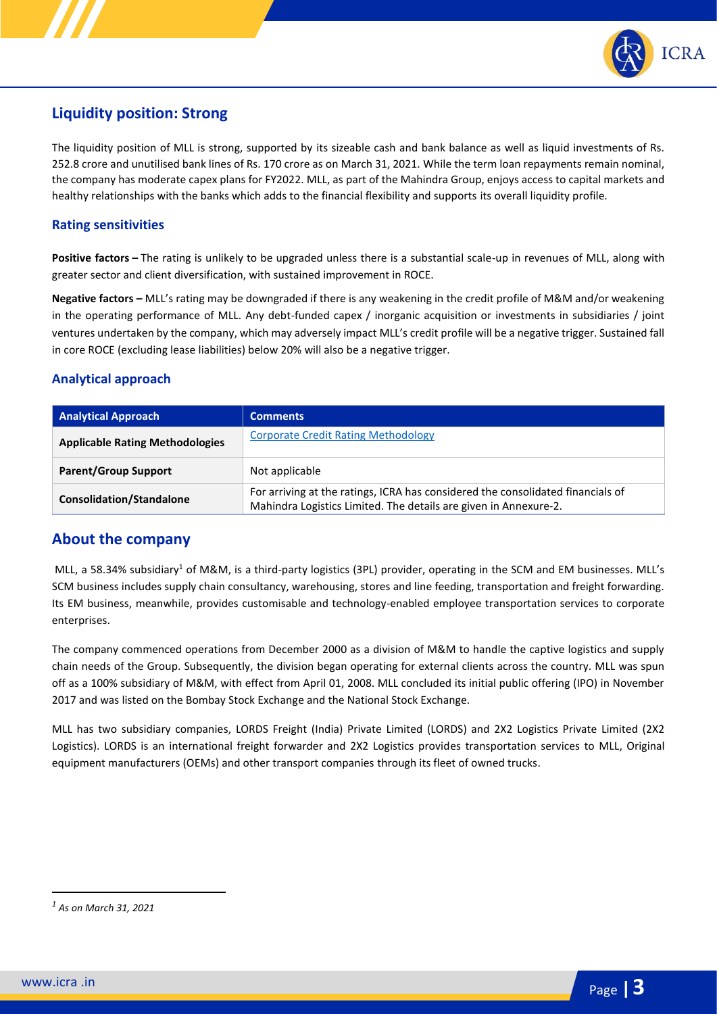

# **Liquidity position: Strong**

The liquidity position of MLL is strong, supported by its sizeable cash and bank balance as well as liquid investments of Rs. 252.8 crore and unutilised bank lines of Rs. 170 crore as on March 31, 2021. While the term loan repayments remain nominal, the company has moderate capex plans for FY2022. MLL, as part of the Mahindra Group, enjoys access to capital markets and healthy relationships with the banks which adds to the financial flexibility and supports its overall liquidity profile.

## **Rating sensitivities**

**Positive factors –** The rating is unlikely to be upgraded unless there is a substantial scale-up in revenues of MLL, along with greater sector and client diversification, with sustained improvement in ROCE.

**Negative factors –** MLL's rating may be downgraded if there is any weakening in the credit profile of M&M and/or weakening in the operating performance of MLL. Any debt-funded capex / inorganic acquisition or investments in subsidiaries / joint ventures undertaken by the company, which may adversely impact MLL's credit profile will be a negative trigger. Sustained fall in core ROCE (excluding lease liabilities) below 20% will also be a negative trigger.

## **Analytical approach**

| <b>Analytical Approach</b>             | <b>Comments</b>                                                                                                                                     |
|----------------------------------------|-----------------------------------------------------------------------------------------------------------------------------------------------------|
| <b>Applicable Rating Methodologies</b> | <b>Corporate Credit Rating Methodology</b>                                                                                                          |
| <b>Parent/Group Support</b>            | Not applicable                                                                                                                                      |
| <b>Consolidation/Standalone</b>        | For arriving at the ratings, ICRA has considered the consolidated financials of<br>Mahindra Logistics Limited. The details are given in Annexure-2. |

# **About the company**

MLL, a 58.34% subsidiary<sup>1</sup> of M&M, is a third-party logistics (3PL) provider, operating in the SCM and EM businesses. MLL's SCM business includes supply chain consultancy, warehousing, stores and line feeding, transportation and freight forwarding. Its EM business, meanwhile, provides customisable and technology-enabled employee transportation services to corporate enterprises.

The company commenced operations from December 2000 as a division of M&M to handle the captive logistics and supply chain needs of the Group. Subsequently, the division began operating for external clients across the country. MLL was spun off as a 100% subsidiary of M&M, with effect from April 01, 2008. MLL concluded its initial public offering (IPO) in November 2017 and was listed on the Bombay Stock Exchange and the National Stock Exchange.

MLL has two subsidiary companies, LORDS Freight (India) Private Limited (LORDS) and 2X2 Logistics Private Limited (2X2 Logistics). LORDS is an international freight forwarder and 2X2 Logistics provides transportation services to MLL, Original equipment manufacturers (OEMs) and other transport companies through its fleet of owned trucks.

*<sup>1</sup> As on March 31, 2021*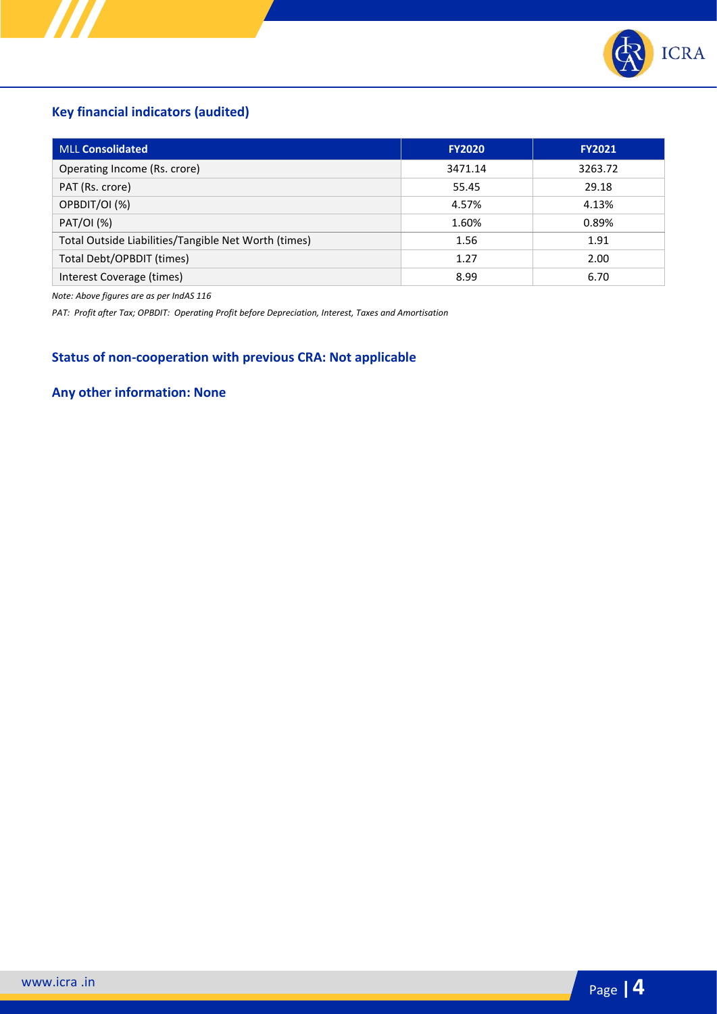

# **Key financial indicators (audited)**

| <b>MLL Consolidated</b>                              | <b>FY2020</b> | <b>FY2021</b> |
|------------------------------------------------------|---------------|---------------|
| Operating Income (Rs. crore)                         | 3471.14       | 3263.72       |
| PAT (Rs. crore)                                      | 55.45         | 29.18         |
| OPBDIT/OI (%)                                        | 4.57%         | 4.13%         |
| PAT/OI (%)                                           | 1.60%         | 0.89%         |
| Total Outside Liabilities/Tangible Net Worth (times) | 1.56          | 1.91          |
| Total Debt/OPBDIT (times)                            | 1.27          | 2.00          |
| Interest Coverage (times)                            | 8.99          | 6.70          |

*Note: Above figures are as per IndAS 116* 

*PAT: Profit after Tax; OPBDIT: Operating Profit before Depreciation, Interest, Taxes and Amortisation*

# **Status of non-cooperation with previous CRA: Not applicable**

# **Any other information: None**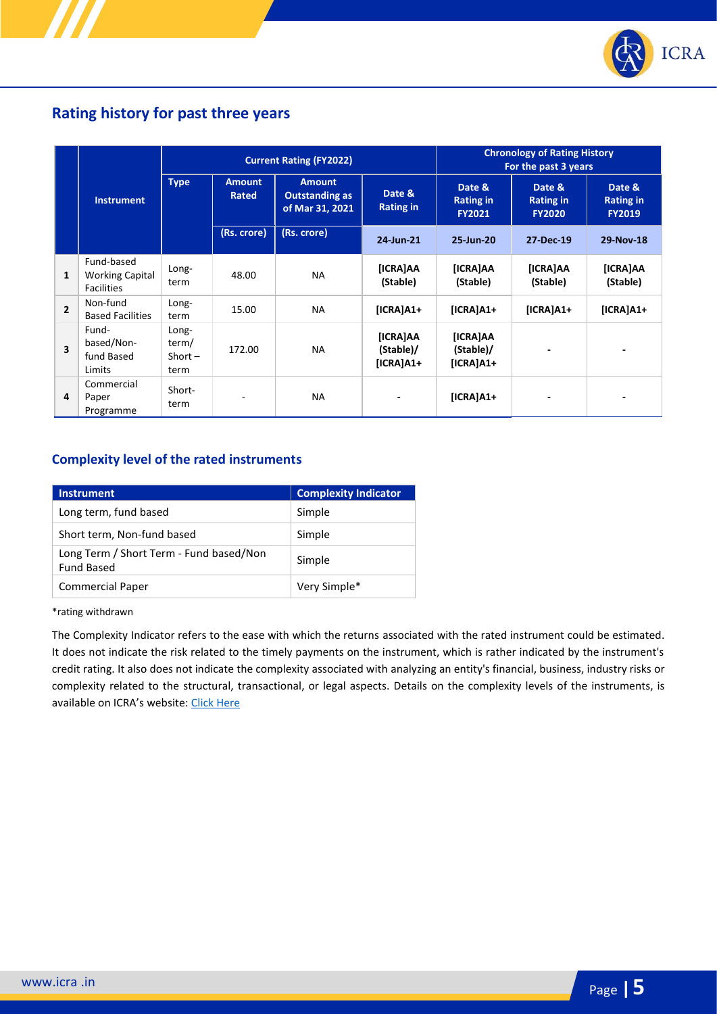

# **Rating history for past three years**

|                         |                                                           | <b>Current Rating (FY2022)</b>      |                        |                                                           |                                             | <b>Chronology of Rating History</b><br>For the past 3 years |                                             |                                             |
|-------------------------|-----------------------------------------------------------|-------------------------------------|------------------------|-----------------------------------------------------------|---------------------------------------------|-------------------------------------------------------------|---------------------------------------------|---------------------------------------------|
|                         | <b>Instrument</b>                                         | <b>Type</b>                         | <b>Amount</b><br>Rated | <b>Amount</b><br><b>Outstanding as</b><br>of Mar 31, 2021 | Date &<br><b>Rating in</b>                  | Date &<br><b>Rating in</b><br><b>FY2021</b>                 | Date &<br><b>Rating in</b><br><b>FY2020</b> | Date &<br><b>Rating in</b><br><b>FY2019</b> |
|                         |                                                           |                                     | (Rs. crore)            | (Rs. crore)                                               | 24-Jun-21                                   | 25-Jun-20                                                   | 27-Dec-19                                   | 29-Nov-18                                   |
| 1                       | Fund-based<br><b>Working Capital</b><br><b>Facilities</b> | Long-<br>term                       | 48.00                  | <b>NA</b>                                                 | [ICRA]AA<br>(Stable)                        | [ICRA]AA<br>(Stable)                                        | <b>[ICRA]AA</b><br>(Stable)                 | [ICRA]AA<br>(Stable)                        |
| $\overline{2}$          | Non-fund<br><b>Based Facilities</b>                       | Long-<br>term                       | 15.00                  | <b>NA</b>                                                 | $[ICRA]A1+$                                 | $[ICRA]A1+$                                                 | $[ICRA]A1+$                                 | $[ICRA]A1+$                                 |
| $\overline{\mathbf{3}}$ | Fund-<br>based/Non-<br>fund Based<br>Limits               | Long-<br>term/<br>Short $-$<br>term | 172.00                 | <b>NA</b>                                                 | <b>[ICRA]AA</b><br>(Stable)/<br>$[ICRA]A1+$ | [ICRA]AA<br>(Stable)/<br>$[ICRA]A1+$                        |                                             |                                             |
| 4                       | Commercial<br>Paper<br>Programme                          | Short-<br>term                      |                        | <b>NA</b>                                                 |                                             | $[ICRA]A1+$                                                 |                                             |                                             |

## **Complexity level of the rated instruments**

| <b>Instrument</b>                                            | <b>Complexity Indicator</b> |
|--------------------------------------------------------------|-----------------------------|
| Long term, fund based                                        | Simple                      |
| Short term, Non-fund based                                   | Simple                      |
| Long Term / Short Term - Fund based/Non<br><b>Fund Based</b> | Simple                      |
| <b>Commercial Paper</b>                                      | Very Simple*                |

\*rating withdrawn

The Complexity Indicator refers to the ease with which the returns associated with the rated instrument could be estimated. It does not indicate the risk related to the timely payments on the instrument, which is rather indicated by the instrument's credit rating. It also does not indicate the complexity associated with analyzing an entity's financial, business, industry risks or complexity related to the structural, transactional, or legal aspects. Details on the complexity levels of the instruments, is available on ICRA's website: [Click Here](https://www.icra.in/Rating/ShowRatingPolicyReport/?id=1&type=new)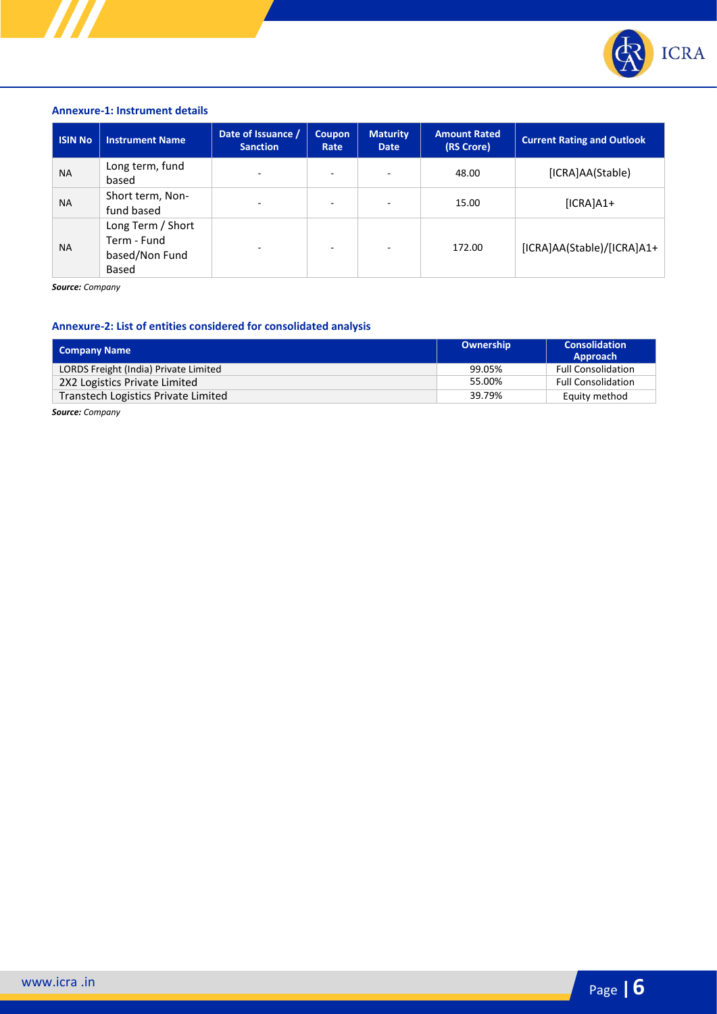

#### **Annexure-1: Instrument details**

| <b>ISIN No</b> | <b>Instrument Name</b>                                             | Date of Issuance /<br><b>Sanction</b> | <b>Coupon</b><br>Rate | <b>Maturity</b><br><b>Date</b> | <b>Amount Rated</b><br>(RS Crore) | <b>Current Rating and Outlook</b> |
|----------------|--------------------------------------------------------------------|---------------------------------------|-----------------------|--------------------------------|-----------------------------------|-----------------------------------|
| <b>NA</b>      | Long term, fund<br>based                                           | $\sim$                                |                       | $\overline{\phantom{0}}$       | 48.00                             | [ICRA]AA(Stable)                  |
| <b>NA</b>      | Short term, Non-<br>fund based                                     | ٠                                     | ۰                     | $\overline{\phantom{a}}$       | 15.00                             | $[ICRA]A1+$                       |
| <b>NA</b>      | Long Term / Short<br>Term - Fund<br>based/Non Fund<br><b>Based</b> | $\equiv$                              | ۰                     | -                              | 172.00                            | [ICRA]AA(Stable)/[ICRA]A1+        |

*Source: Company*

## **Annexure-2: List of entities considered for consolidated analysis**

| Company Name                          | Ownership | <b>Consolidation</b><br>Approach |
|---------------------------------------|-----------|----------------------------------|
| LORDS Freight (India) Private Limited | 99.05%    | <b>Full Consolidation</b>        |
| 2X2 Logistics Private Limited         | 55.00%    | <b>Full Consolidation</b>        |
| Transtech Logistics Private Limited   | 39.79%    | Equity method                    |

*Source: Company*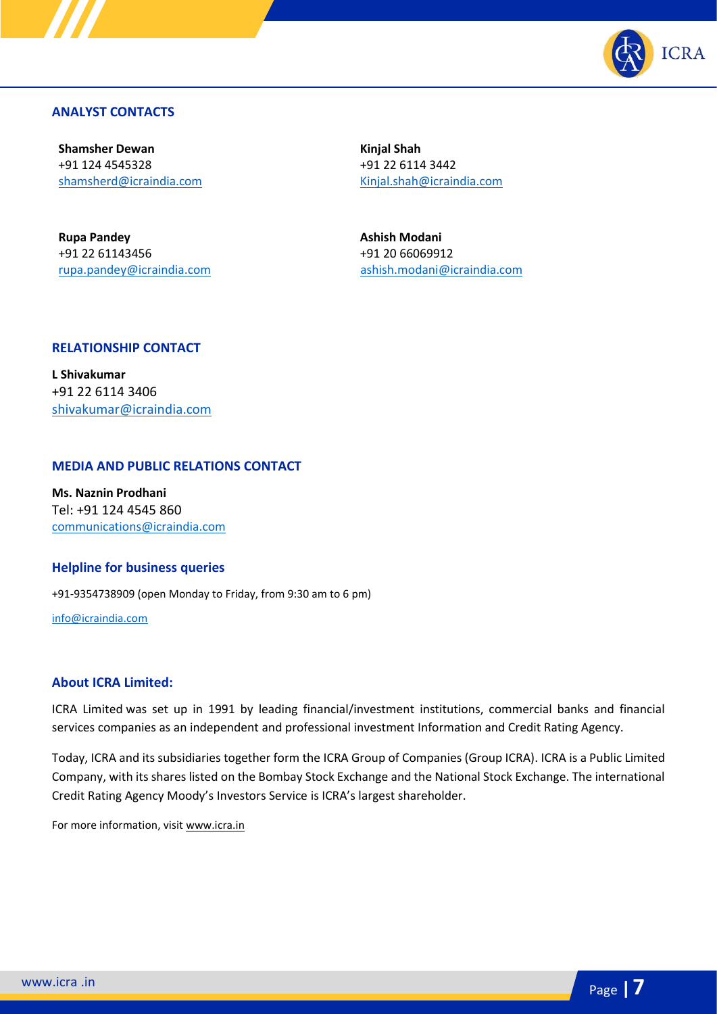

## **ANALYST CONTACTS**

**Shamsher Dewan** +91 124 4545328 [shamsherd@icraindia.com](mailto:shamsherd@icraindia.com)

**Rupa Pandey** +91 22 61143456 [rupa.pandey@icraindia.com](mailto:rupa.pandey@icraindia.com) **Kinjal Shah** +91 22 6114 3442 [Kinjal.shah@icraindia.com](mailto:Kinjal.shah@icraindia.com)

**Ashish Modani** +91 20 66069912 aashish.modani@icraindia.com

### **RELATIONSHIP CONTACT**

**L Shivakumar** +91 22 6114 3406 [shivakumar@icraindia.com](mailto:shivakumar@icraindia.com)

### **MEDIA AND PUBLIC RELATIONS CONTACT**

**Ms. Naznin Prodhani** Tel: +91 124 4545 860 [communications@icraindia.com](mailto:communications@icraindia.com)

### **Helpline for business queries**

+91-9354738909 (open Monday to Friday, from 9:30 am to 6 pm)

[info@icraindia.com](mailto:info@icraindia.com)

### **About ICRA Limited:**

ICRA Limited was set up in 1991 by leading financial/investment institutions, commercial banks and financial services companies as an independent and professional investment Information and Credit Rating Agency.

Today, ICRA and its subsidiaries together form the ICRA Group of Companies (Group ICRA). ICRA is a Public Limited Company, with its shares listed on the Bombay Stock Exchange and the National Stock Exchange. The international Credit Rating Agency Moody's Investors Service is ICRA's largest shareholder.

For more information, visit [www.icra.in](http://www.icra.in/)